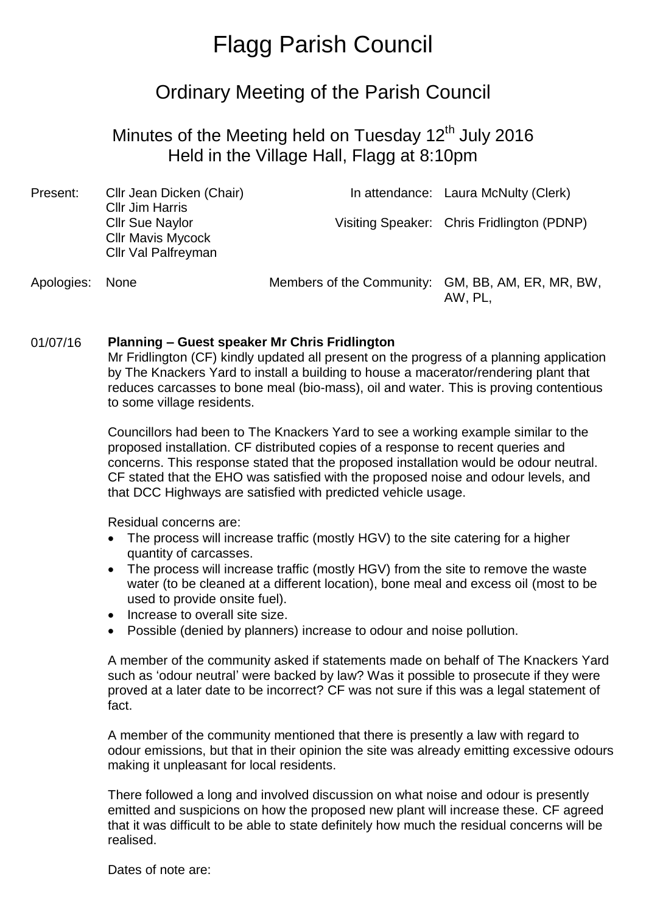# Flagg Parish Council

## Ordinary Meeting of the Parish Council

### Minutes of the Meeting held on Tuesday 12<sup>th</sup> July 2016 Held in the Village Hall, Flagg at 8:10pm

| Present:        | Cllr Jean Dicken (Chair)<br><b>Cllr Jim Harris</b>                               |                                                   | In attendance: Laura McNulty (Clerk)       |
|-----------------|----------------------------------------------------------------------------------|---------------------------------------------------|--------------------------------------------|
|                 | <b>Cllr Sue Naylor</b><br><b>CIIr Mavis Mycock</b><br><b>Cllr Val Palfreyman</b> |                                                   | Visiting Speaker: Chris Fridlington (PDNP) |
| Apologies: None |                                                                                  | Members of the Community: GM, BB, AM, ER, MR, BW, |                                            |

AW, PL,

#### 01/07/16 **Planning – Guest speaker Mr Chris Fridlington**

Mr Fridlington (CF) kindly updated all present on the progress of a planning application by The Knackers Yard to install a building to house a macerator/rendering plant that reduces carcasses to bone meal (bio-mass), oil and water. This is proving contentious to some village residents.

Councillors had been to The Knackers Yard to see a working example similar to the proposed installation. CF distributed copies of a response to recent queries and concerns. This response stated that the proposed installation would be odour neutral. CF stated that the EHO was satisfied with the proposed noise and odour levels, and that DCC Highways are satisfied with predicted vehicle usage.

Residual concerns are:

- The process will increase traffic (mostly HGV) to the site catering for a higher quantity of carcasses.
- The process will increase traffic (mostly HGV) from the site to remove the waste water (to be cleaned at a different location), bone meal and excess oil (most to be used to provide onsite fuel).
- Increase to overall site size.
- Possible (denied by planners) increase to odour and noise pollution.

A member of the community asked if statements made on behalf of The Knackers Yard such as 'odour neutral' were backed by law? Was it possible to prosecute if they were proved at a later date to be incorrect? CF was not sure if this was a legal statement of fact.

A member of the community mentioned that there is presently a law with regard to odour emissions, but that in their opinion the site was already emitting excessive odours making it unpleasant for local residents.

There followed a long and involved discussion on what noise and odour is presently emitted and suspicions on how the proposed new plant will increase these. CF agreed that it was difficult to be able to state definitely how much the residual concerns will be realised.

Dates of note are: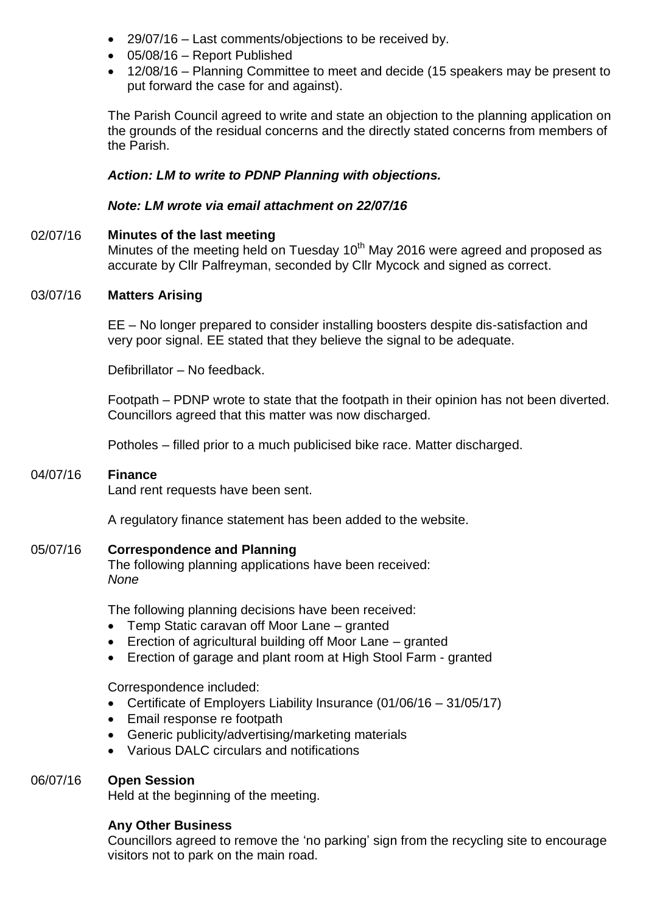- 29/07/16 Last comments/objections to be received by.
- 05/08/16 Report Published
- 12/08/16 Planning Committee to meet and decide (15 speakers may be present to put forward the case for and against).

The Parish Council agreed to write and state an objection to the planning application on the grounds of the residual concerns and the directly stated concerns from members of the Parish.

#### *Action: LM to write to PDNP Planning with objections.*

#### *Note: LM wrote via email attachment on 22/07/16*

02/07/16 **Minutes of the last meeting** Minutes of the meeting held on Tuesday  $10<sup>th</sup>$  May 2016 were agreed and proposed as accurate by Cllr Palfreyman, seconded by Cllr Mycock and signed as correct.

#### 03/07/16 **Matters Arising**

EE – No longer prepared to consider installing boosters despite dis-satisfaction and very poor signal. EE stated that they believe the signal to be adequate.

Defibrillator – No feedback.

Footpath – PDNP wrote to state that the footpath in their opinion has not been diverted. Councillors agreed that this matter was now discharged.

Potholes – filled prior to a much publicised bike race. Matter discharged.

#### 04/07/16 **Finance**

Land rent requests have been sent.

A regulatory finance statement has been added to the website.

#### 05/07/16 **Correspondence and Planning**

The following planning applications have been received: *None*

The following planning decisions have been received:

- Temp Static caravan off Moor Lane granted
- Erection of agricultural building off Moor Lane granted
- Erection of garage and plant room at High Stool Farm granted

Correspondence included:

- Certificate of Employers Liability Insurance (01/06/16 31/05/17)
- Email response re footpath
- Generic publicity/advertising/marketing materials
- Various DALC circulars and notifications

#### 06/07/16 **Open Session**

Held at the beginning of the meeting.

#### **Any Other Business**

Councillors agreed to remove the 'no parking' sign from the recycling site to encourage visitors not to park on the main road.